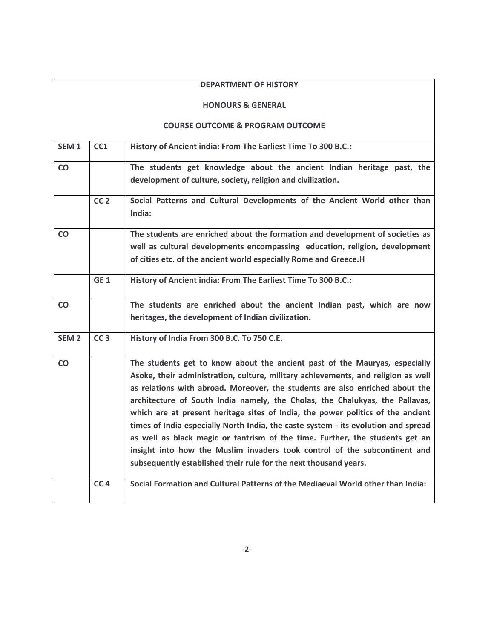|                  |                 | <b>DEPARTMENT OF HISTORY</b>                                                                                                                                                                                                                                                                                                                                                                                                                                                                                                                                                                                                                                                                                                              |
|------------------|-----------------|-------------------------------------------------------------------------------------------------------------------------------------------------------------------------------------------------------------------------------------------------------------------------------------------------------------------------------------------------------------------------------------------------------------------------------------------------------------------------------------------------------------------------------------------------------------------------------------------------------------------------------------------------------------------------------------------------------------------------------------------|
|                  |                 | <b>HONOURS &amp; GENERAL</b>                                                                                                                                                                                                                                                                                                                                                                                                                                                                                                                                                                                                                                                                                                              |
|                  |                 | <b>COURSE OUTCOME &amp; PROGRAM OUTCOME</b>                                                                                                                                                                                                                                                                                                                                                                                                                                                                                                                                                                                                                                                                                               |
| SEM <sub>1</sub> | CC1             | History of Ancient india: From The Earliest Time To 300 B.C.:                                                                                                                                                                                                                                                                                                                                                                                                                                                                                                                                                                                                                                                                             |
| <b>CO</b>        |                 | The students get knowledge about the ancient Indian heritage past, the<br>development of culture, society, religion and civilization.                                                                                                                                                                                                                                                                                                                                                                                                                                                                                                                                                                                                     |
|                  | CC <sub>2</sub> | Social Patterns and Cultural Developments of the Ancient World other than<br>India:                                                                                                                                                                                                                                                                                                                                                                                                                                                                                                                                                                                                                                                       |
| CO               |                 | The students are enriched about the formation and development of societies as<br>well as cultural developments encompassing education, religion, development<br>of cities etc. of the ancient world especially Rome and Greece.H                                                                                                                                                                                                                                                                                                                                                                                                                                                                                                          |
|                  | GE <sub>1</sub> | History of Ancient india: From The Earliest Time To 300 B.C.:                                                                                                                                                                                                                                                                                                                                                                                                                                                                                                                                                                                                                                                                             |
| <b>CO</b>        |                 | The students are enriched about the ancient Indian past, which are now<br>heritages, the development of Indian civilization.                                                                                                                                                                                                                                                                                                                                                                                                                                                                                                                                                                                                              |
| SEM <sub>2</sub> | CC <sub>3</sub> | History of India From 300 B.C. To 750 C.E.                                                                                                                                                                                                                                                                                                                                                                                                                                                                                                                                                                                                                                                                                                |
| <b>CO</b>        |                 | The students get to know about the ancient past of the Mauryas, especially<br>Asoke, their administration, culture, military achievements, and religion as well<br>as relations with abroad. Moreover, the students are also enriched about the<br>architecture of South India namely, the Cholas, the Chalukyas, the Pallavas,<br>which are at present heritage sites of India, the power politics of the ancient<br>times of India especially North India, the caste system - its evolution and spread<br>as well as black magic or tantrism of the time. Further, the students get an<br>insight into how the Muslim invaders took control of the subcontinent and<br>subsequently established their rule for the next thousand years. |
|                  | CC <sub>4</sub> | Social Formation and Cultural Patterns of the Mediaeval World other than India:                                                                                                                                                                                                                                                                                                                                                                                                                                                                                                                                                                                                                                                           |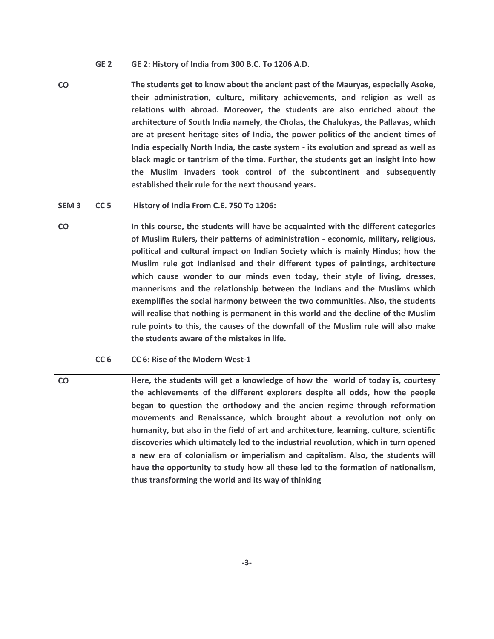|                  | GE <sub>2</sub> | GE 2: History of India from 300 B.C. To 1206 A.D.                                                                                                                                                                                                                                                                                                                                                                                                                                                                                                                                                                                                                                                                                                                                                                       |
|------------------|-----------------|-------------------------------------------------------------------------------------------------------------------------------------------------------------------------------------------------------------------------------------------------------------------------------------------------------------------------------------------------------------------------------------------------------------------------------------------------------------------------------------------------------------------------------------------------------------------------------------------------------------------------------------------------------------------------------------------------------------------------------------------------------------------------------------------------------------------------|
| $\mathsf{CO}$    |                 | The students get to know about the ancient past of the Mauryas, especially Asoke,<br>their administration, culture, military achievements, and religion as well as<br>relations with abroad. Moreover, the students are also enriched about the<br>architecture of South India namely, the Cholas, the Chalukyas, the Pallavas, which<br>are at present heritage sites of India, the power politics of the ancient times of<br>India especially North India, the caste system - its evolution and spread as well as<br>black magic or tantrism of the time. Further, the students get an insight into how<br>the Muslim invaders took control of the subcontinent and subsequently<br>established their rule for the next thousand years.                                                                               |
| SEM <sub>3</sub> | CC <sub>5</sub> | History of India From C.E. 750 To 1206:                                                                                                                                                                                                                                                                                                                                                                                                                                                                                                                                                                                                                                                                                                                                                                                 |
| CO               |                 | In this course, the students will have be acquainted with the different categories<br>of Muslim Rulers, their patterns of administration - economic, military, religious,<br>political and cultural impact on Indian Society which is mainly Hindus; how the<br>Muslim rule got Indianised and their different types of paintings, architecture<br>which cause wonder to our minds even today, their style of living, dresses,<br>mannerisms and the relationship between the Indians and the Muslims which<br>exemplifies the social harmony between the two communities. Also, the students<br>will realise that nothing is permanent in this world and the decline of the Muslim<br>rule points to this, the causes of the downfall of the Muslim rule will also make<br>the students aware of the mistakes in life. |
|                  | CC <sub>6</sub> | CC 6: Rise of the Modern West-1                                                                                                                                                                                                                                                                                                                                                                                                                                                                                                                                                                                                                                                                                                                                                                                         |
| <b>CO</b>        |                 | Here, the students will get a knowledge of how the world of today is, courtesy<br>the achievements of the different explorers despite all odds, how the people<br>began to question the orthodoxy and the ancien regime through reformation<br>movements and Renaissance, which brought about a revolution not only on<br>humanity, but also in the field of art and architecture, learning, culture, scientific<br>discoveries which ultimately led to the industrial revolution, which in turn opened<br>a new era of colonialism or imperialism and capitalism. Also, the students will<br>have the opportunity to study how all these led to the formation of nationalism,<br>thus transforming the world and its way of thinking                                                                                   |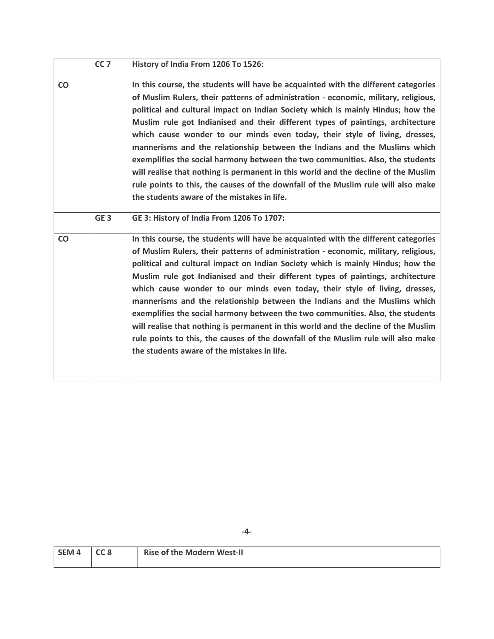|           | CC <sub>7</sub> | History of India From 1206 To 1526:                                                                                                                                                                                                                                                                                                                                                                                                                                                                                                                                                                                                                                                                                                                                                                                     |
|-----------|-----------------|-------------------------------------------------------------------------------------------------------------------------------------------------------------------------------------------------------------------------------------------------------------------------------------------------------------------------------------------------------------------------------------------------------------------------------------------------------------------------------------------------------------------------------------------------------------------------------------------------------------------------------------------------------------------------------------------------------------------------------------------------------------------------------------------------------------------------|
| CO        |                 | In this course, the students will have be acquainted with the different categories<br>of Muslim Rulers, their patterns of administration - economic, military, religious,<br>political and cultural impact on Indian Society which is mainly Hindus; how the<br>Muslim rule got Indianised and their different types of paintings, architecture<br>which cause wonder to our minds even today, their style of living, dresses,<br>mannerisms and the relationship between the Indians and the Muslims which<br>exemplifies the social harmony between the two communities. Also, the students<br>will realise that nothing is permanent in this world and the decline of the Muslim<br>rule points to this, the causes of the downfall of the Muslim rule will also make<br>the students aware of the mistakes in life. |
|           | GE <sub>3</sub> | GE 3: History of India From 1206 To 1707:                                                                                                                                                                                                                                                                                                                                                                                                                                                                                                                                                                                                                                                                                                                                                                               |
| <b>CO</b> |                 | In this course, the students will have be acquainted with the different categories<br>of Muslim Rulers, their patterns of administration - economic, military, religious,<br>political and cultural impact on Indian Society which is mainly Hindus; how the<br>Muslim rule got Indianised and their different types of paintings, architecture<br>which cause wonder to our minds even today, their style of living, dresses,<br>mannerisms and the relationship between the Indians and the Muslims which<br>exemplifies the social harmony between the two communities. Also, the students<br>will realise that nothing is permanent in this world and the decline of the Muslim<br>rule points to this, the causes of the downfall of the Muslim rule will also make<br>the students aware of the mistakes in life. |

| SEM <sub>4</sub> | CC8 | <b>Rise of the Modern West-II</b> |
|------------------|-----|-----------------------------------|
|                  |     |                                   |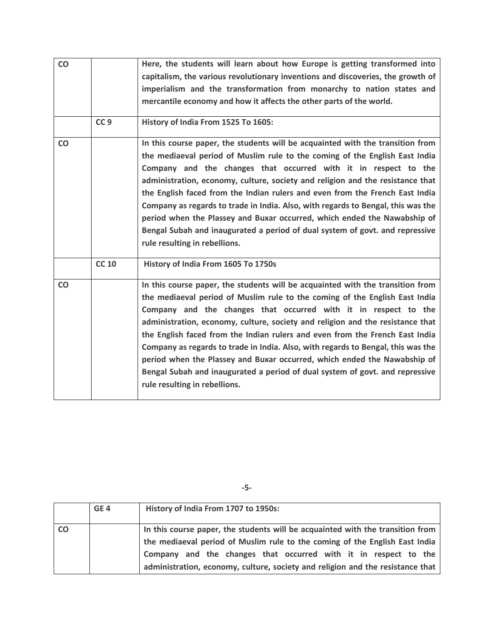| CO        |                 | Here, the students will learn about how Europe is getting transformed into<br>capitalism, the various revolutionary inventions and discoveries, the growth of<br>imperialism and the transformation from monarchy to nation states and<br>mercantile economy and how it affects the other parts of the world.                                                                                                                                                                                                                                                                                                                                                                       |
|-----------|-----------------|-------------------------------------------------------------------------------------------------------------------------------------------------------------------------------------------------------------------------------------------------------------------------------------------------------------------------------------------------------------------------------------------------------------------------------------------------------------------------------------------------------------------------------------------------------------------------------------------------------------------------------------------------------------------------------------|
|           | CC <sub>9</sub> | History of India From 1525 To 1605:                                                                                                                                                                                                                                                                                                                                                                                                                                                                                                                                                                                                                                                 |
| <b>CO</b> |                 | In this course paper, the students will be acquainted with the transition from<br>the mediaeval period of Muslim rule to the coming of the English East India<br>Company and the changes that occurred with it in respect to the<br>administration, economy, culture, society and religion and the resistance that<br>the English faced from the Indian rulers and even from the French East India<br>Company as regards to trade in India. Also, with regards to Bengal, this was the<br>period when the Plassey and Buxar occurred, which ended the Nawabship of<br>Bengal Subah and inaugurated a period of dual system of govt. and repressive<br>rule resulting in rebellions. |
|           | <b>CC 10</b>    | History of India From 1605 To 1750s                                                                                                                                                                                                                                                                                                                                                                                                                                                                                                                                                                                                                                                 |
| CO        |                 | In this course paper, the students will be acquainted with the transition from<br>the mediaeval period of Muslim rule to the coming of the English East India<br>Company and the changes that occurred with it in respect to the<br>administration, economy, culture, society and religion and the resistance that<br>the English faced from the Indian rulers and even from the French East India<br>Company as regards to trade in India. Also, with regards to Bengal, this was the<br>period when the Plassey and Buxar occurred, which ended the Nawabship of<br>Bengal Subah and inaugurated a period of dual system of govt. and repressive<br>rule resulting in rebellions. |

| _<br>I<br>I<br>۰.<br>× |  |
|------------------------|--|
|------------------------|--|

|           | GE <sub>4</sub> | History of India From 1707 to 1950s:                                                                                                                                                                                                                                                                               |
|-----------|-----------------|--------------------------------------------------------------------------------------------------------------------------------------------------------------------------------------------------------------------------------------------------------------------------------------------------------------------|
| <b>CO</b> |                 | In this course paper, the students will be acquainted with the transition from<br>the mediaeval period of Muslim rule to the coming of the English East India<br>Company and the changes that occurred with it in respect to the<br>administration, economy, culture, society and religion and the resistance that |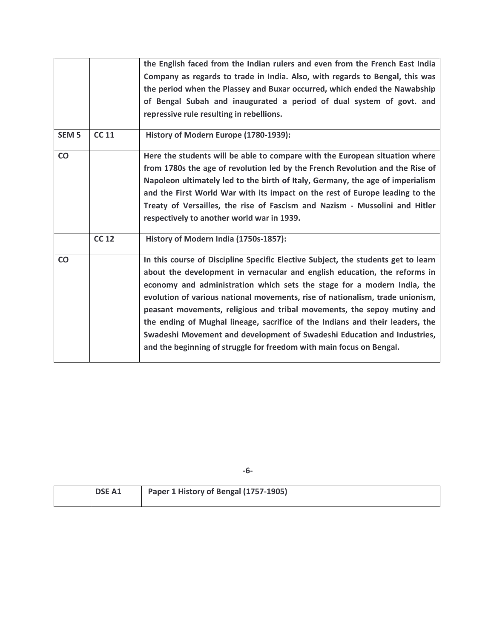|                  |              | the English faced from the Indian rulers and even from the French East India<br>Company as regards to trade in India. Also, with regards to Bengal, this was<br>the period when the Plassey and Buxar occurred, which ended the Nawabship<br>of Bengal Subah and inaugurated a period of dual system of govt. and<br>repressive rule resulting in rebellions.                                                                                                                                                                                                                                                                             |
|------------------|--------------|-------------------------------------------------------------------------------------------------------------------------------------------------------------------------------------------------------------------------------------------------------------------------------------------------------------------------------------------------------------------------------------------------------------------------------------------------------------------------------------------------------------------------------------------------------------------------------------------------------------------------------------------|
| SEM <sub>5</sub> | <b>CC 11</b> | History of Modern Europe (1780-1939):                                                                                                                                                                                                                                                                                                                                                                                                                                                                                                                                                                                                     |
| CO               |              | Here the students will be able to compare with the European situation where<br>from 1780s the age of revolution led by the French Revolution and the Rise of<br>Napoleon ultimately led to the birth of Italy, Germany, the age of imperialism<br>and the First World War with its impact on the rest of Europe leading to the<br>Treaty of Versailles, the rise of Fascism and Nazism - Mussolini and Hitler<br>respectively to another world war in 1939.                                                                                                                                                                               |
|                  | <b>CC 12</b> | History of Modern India (1750s-1857):                                                                                                                                                                                                                                                                                                                                                                                                                                                                                                                                                                                                     |
| CO               |              | In this course of Discipline Specific Elective Subject, the students get to learn<br>about the development in vernacular and english education, the reforms in<br>economy and administration which sets the stage for a modern India, the<br>evolution of various national movements, rise of nationalism, trade unionism,<br>peasant movements, religious and tribal movements, the sepoy mutiny and<br>the ending of Mughal lineage, sacrifice of the Indians and their leaders, the<br>Swadeshi Movement and development of Swadeshi Education and Industries,<br>and the beginning of struggle for freedom with main focus on Bengal. |

| <b>DSE A1</b> | Paper 1 History of Bengal (1757-1905) |
|---------------|---------------------------------------|
|               |                                       |
|               |                                       |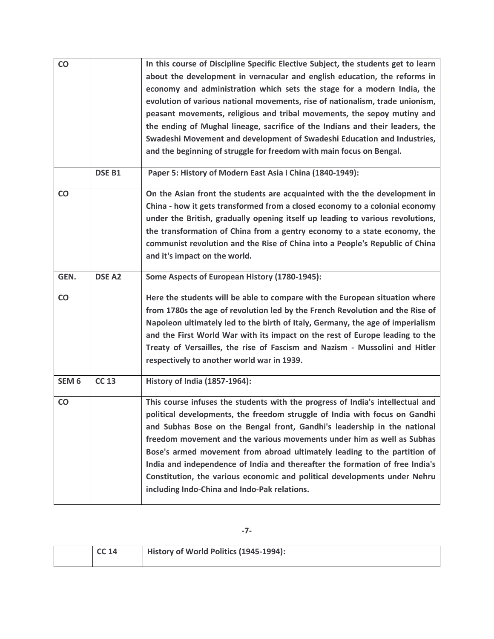| CO               |               | In this course of Discipline Specific Elective Subject, the students get to learn<br>about the development in vernacular and english education, the reforms in<br>economy and administration which sets the stage for a modern India, the<br>evolution of various national movements, rise of nationalism, trade unionism,<br>peasant movements, religious and tribal movements, the sepoy mutiny and<br>the ending of Mughal lineage, sacrifice of the Indians and their leaders, the<br>Swadeshi Movement and development of Swadeshi Education and Industries,<br>and the beginning of struggle for freedom with main focus on Bengal. |
|------------------|---------------|-------------------------------------------------------------------------------------------------------------------------------------------------------------------------------------------------------------------------------------------------------------------------------------------------------------------------------------------------------------------------------------------------------------------------------------------------------------------------------------------------------------------------------------------------------------------------------------------------------------------------------------------|
|                  | <b>DSE B1</b> | Paper 5: History of Modern East Asia I China (1840-1949):                                                                                                                                                                                                                                                                                                                                                                                                                                                                                                                                                                                 |
| CO               |               | On the Asian front the students are acquainted with the the development in<br>China - how it gets transformed from a closed economy to a colonial economy<br>under the British, gradually opening itself up leading to various revolutions,<br>the transformation of China from a gentry economy to a state economy, the<br>communist revolution and the Rise of China into a People's Republic of China<br>and it's impact on the world.                                                                                                                                                                                                 |
| GEN.             | <b>DSE A2</b> | Some Aspects of European History (1780-1945):                                                                                                                                                                                                                                                                                                                                                                                                                                                                                                                                                                                             |
| CO               |               | Here the students will be able to compare with the European situation where<br>from 1780s the age of revolution led by the French Revolution and the Rise of<br>Napoleon ultimately led to the birth of Italy, Germany, the age of imperialism<br>and the First World War with its impact on the rest of Europe leading to the<br>Treaty of Versailles, the rise of Fascism and Nazism - Mussolini and Hitler<br>respectively to another world war in 1939.                                                                                                                                                                               |
| SEM <sub>6</sub> | <b>CC 13</b>  | History of India (1857-1964):                                                                                                                                                                                                                                                                                                                                                                                                                                                                                                                                                                                                             |
| <b>CO</b>        |               | This course infuses the students with the progress of India's intellectual and<br>political developments, the freedom struggle of India with focus on Gandhi<br>and Subhas Bose on the Bengal front, Gandhi's leadership in the national<br>freedom movement and the various movements under him as well as Subhas<br>Bose's armed movement from abroad ultimately leading to the partition of<br>India and independence of India and thereafter the formation of free India's<br>Constitution, the various economic and political developments under Nehru<br>including Indo-China and Indo-Pak relations.                               |

| <b>CC 14</b> | History of World Politics (1945-1994): |
|--------------|----------------------------------------|
|              |                                        |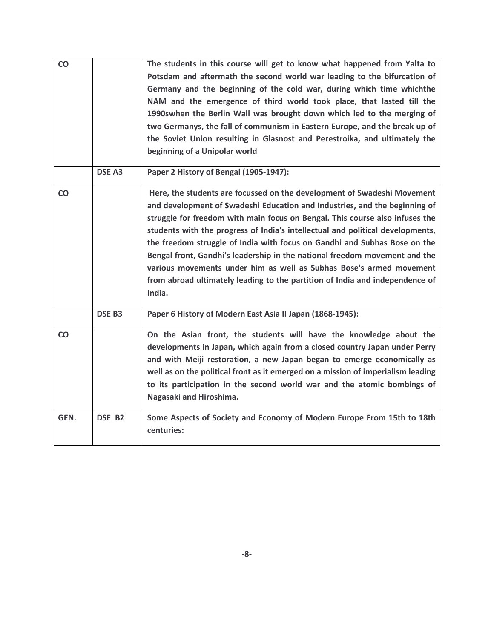| CO   |               | The students in this course will get to know what happened from Yalta to<br>Potsdam and aftermath the second world war leading to the bifurcation of<br>Germany and the beginning of the cold war, during which time whichthe<br>NAM and the emergence of third world took place, that lasted till the<br>1990swhen the Berlin Wall was brought down which led to the merging of<br>two Germanys, the fall of communism in Eastern Europe, and the break up of<br>the Soviet Union resulting in Glasnost and Perestroika, and ultimately the<br>beginning of a Unipolar world                                                                       |
|------|---------------|-----------------------------------------------------------------------------------------------------------------------------------------------------------------------------------------------------------------------------------------------------------------------------------------------------------------------------------------------------------------------------------------------------------------------------------------------------------------------------------------------------------------------------------------------------------------------------------------------------------------------------------------------------|
|      | <b>DSE A3</b> | Paper 2 History of Bengal (1905-1947):                                                                                                                                                                                                                                                                                                                                                                                                                                                                                                                                                                                                              |
| CO   |               | Here, the students are focussed on the development of Swadeshi Movement<br>and development of Swadeshi Education and Industries, and the beginning of<br>struggle for freedom with main focus on Bengal. This course also infuses the<br>students with the progress of India's intellectual and political developments,<br>the freedom struggle of India with focus on Gandhi and Subhas Bose on the<br>Bengal front, Gandhi's leadership in the national freedom movement and the<br>various movements under him as well as Subhas Bose's armed movement<br>from abroad ultimately leading to the partition of India and independence of<br>India. |
|      | <b>DSE B3</b> | Paper 6 History of Modern East Asia II Japan (1868-1945):                                                                                                                                                                                                                                                                                                                                                                                                                                                                                                                                                                                           |
| CO   |               | On the Asian front, the students will have the knowledge about the<br>developments in Japan, which again from a closed country Japan under Perry<br>and with Meiji restoration, a new Japan began to emerge economically as<br>well as on the political front as it emerged on a mission of imperialism leading<br>to its participation in the second world war and the atomic bombings of<br>Nagasaki and Hiroshima.                                                                                                                                                                                                                               |
| GEN. | DSE B2        | Some Aspects of Society and Economy of Modern Europe From 15th to 18th<br>centuries:                                                                                                                                                                                                                                                                                                                                                                                                                                                                                                                                                                |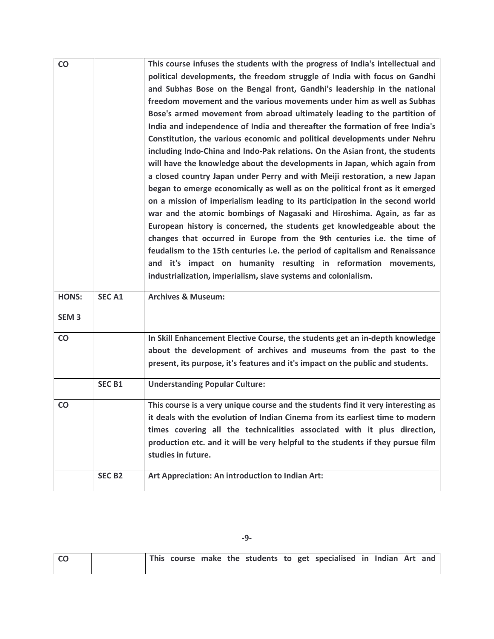| CO               |               | This course infuses the students with the progress of India's intellectual and   |
|------------------|---------------|----------------------------------------------------------------------------------|
|                  |               | political developments, the freedom struggle of India with focus on Gandhi       |
|                  |               | and Subhas Bose on the Bengal front, Gandhi's leadership in the national         |
|                  |               | freedom movement and the various movements under him as well as Subhas           |
|                  |               | Bose's armed movement from abroad ultimately leading to the partition of         |
|                  |               | India and independence of India and thereafter the formation of free India's     |
|                  |               | Constitution, the various economic and political developments under Nehru        |
|                  |               | including Indo-China and Indo-Pak relations. On the Asian front, the students    |
|                  |               | will have the knowledge about the developments in Japan, which again from        |
|                  |               | a closed country Japan under Perry and with Meiji restoration, a new Japan       |
|                  |               | began to emerge economically as well as on the political front as it emerged     |
|                  |               | on a mission of imperialism leading to its participation in the second world     |
|                  |               | war and the atomic bombings of Nagasaki and Hiroshima. Again, as far as          |
|                  |               | European history is concerned, the students get knowledgeable about the          |
|                  |               | changes that occurred in Europe from the 9th centuries i.e. the time of          |
|                  |               | feudalism to the 15th centuries i.e. the period of capitalism and Renaissance    |
|                  |               | and it's impact on humanity resulting in reformation movements,                  |
|                  |               | industrialization, imperialism, slave systems and colonialism.                   |
|                  |               |                                                                                  |
| <b>HONS:</b>     | <b>SECA1</b>  | <b>Archives &amp; Museum:</b>                                                    |
|                  |               |                                                                                  |
| SEM <sub>3</sub> |               |                                                                                  |
| CO               |               | In Skill Enhancement Elective Course, the students get an in-depth knowledge     |
|                  |               | about the development of archives and museums from the past to the               |
|                  |               | present, its purpose, it's features and it's impact on the public and students.  |
|                  |               |                                                                                  |
|                  | <b>SEC B1</b> | <b>Understanding Popular Culture:</b>                                            |
| CO               |               | This course is a very unique course and the students find it very interesting as |
|                  |               | it deals with the evolution of Indian Cinema from its earliest time to modern    |
|                  |               | times covering all the technicalities associated with it plus direction,         |
|                  |               | production etc. and it will be very helpful to the students if they pursue film  |
|                  |               | studies in future.                                                               |
|                  | <b>SEC B2</b> | Art Appreciation: An introduction to Indian Art:                                 |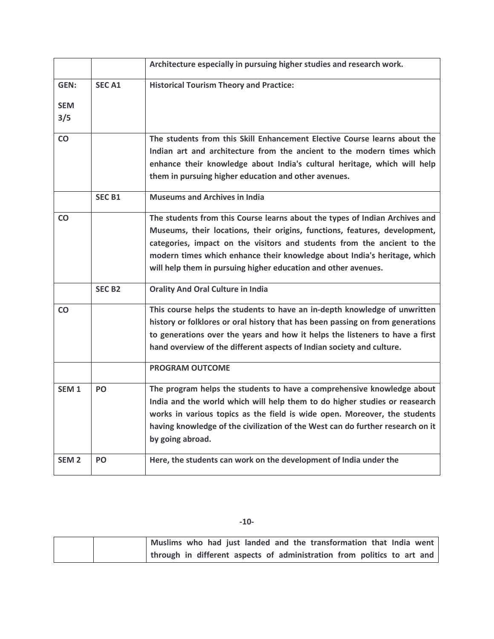|                  |               | Architecture especially in pursuing higher studies and research work.          |
|------------------|---------------|--------------------------------------------------------------------------------|
| GEN:             | <b>SECA1</b>  | <b>Historical Tourism Theory and Practice:</b>                                 |
| <b>SEM</b>       |               |                                                                                |
| 3/5              |               |                                                                                |
|                  |               |                                                                                |
| <b>CO</b>        |               | The students from this Skill Enhancement Elective Course learns about the      |
|                  |               | Indian art and architecture from the ancient to the modern times which         |
|                  |               | enhance their knowledge about India's cultural heritage, which will help       |
|                  |               | them in pursuing higher education and other avenues.                           |
|                  | <b>SEC B1</b> | <b>Museums and Archives in India</b>                                           |
| CO               |               | The students from this Course learns about the types of Indian Archives and    |
|                  |               | Museums, their locations, their origins, functions, features, development,     |
|                  |               | categories, impact on the visitors and students from the ancient to the        |
|                  |               | modern times which enhance their knowledge about India's heritage, which       |
|                  |               | will help them in pursuing higher education and other avenues.                 |
|                  | <b>SEC B2</b> | <b>Orality And Oral Culture in India</b>                                       |
| CO               |               | This course helps the students to have an in-depth knowledge of unwritten      |
|                  |               | history or folklores or oral history that has been passing on from generations |
|                  |               | to generations over the years and how it helps the listeners to have a first   |
|                  |               | hand overview of the different aspects of Indian society and culture.          |
|                  |               | <b>PROGRAM OUTCOME</b>                                                         |
| SEM <sub>1</sub> | PO            | The program helps the students to have a comprehensive knowledge about         |
|                  |               | India and the world which will help them to do higher studies or reasearch     |
|                  |               | works in various topics as the field is wide open. Moreover, the students      |
|                  |               | having knowledge of the civilization of the West can do further research on it |
|                  |               | by going abroad.                                                               |
| SEM <sub>2</sub> | PO            | Here, the students can work on the development of India under the              |
|                  |               |                                                                                |

**-10-** 

| Muslims who had just landed and the transformation that India went      |  |
|-------------------------------------------------------------------------|--|
| through in different aspects of administration from politics to art and |  |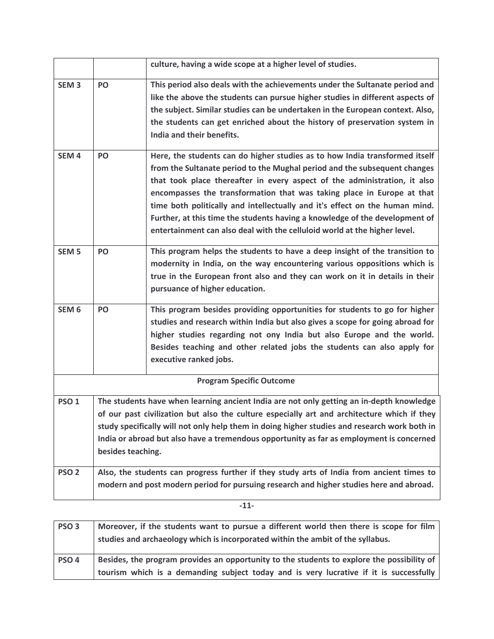|                  |                   | culture, having a wide scope at a higher level of studies.                                   |
|------------------|-------------------|----------------------------------------------------------------------------------------------|
| SEM <sub>3</sub> | PO                | This period also deals with the achievements under the Sultanate period and                  |
|                  |                   | like the above the students can pursue higher studies in different aspects of                |
|                  |                   | the subject. Similar studies can be undertaken in the European context. Also,                |
|                  |                   | the students can get enriched about the history of preservation system in                    |
|                  |                   | India and their benefits.                                                                    |
| SEM <sub>4</sub> | PO                | Here, the students can do higher studies as to how India transformed itself                  |
|                  |                   | from the Sultanate period to the Mughal period and the subsequent changes                    |
|                  |                   | that took place thereafter in every aspect of the administration, it also                    |
|                  |                   | encompasses the transformation that was taking place in Europe at that                       |
|                  |                   | time both politically and intellectually and it's effect on the human mind.                  |
|                  |                   | Further, at this time the students having a knowledge of the development of                  |
|                  |                   | entertainment can also deal with the celluloid world at the higher level.                    |
| SEM <sub>5</sub> | PO                | This program helps the students to have a deep insight of the transition to                  |
|                  |                   | modernity in India, on the way encountering various oppositions which is                     |
|                  |                   | true in the European front also and they can work on it in details in their                  |
|                  |                   | pursuance of higher education.                                                               |
| SEM <sub>6</sub> | PO                | This program besides providing opportunities for students to go for higher                   |
|                  |                   | studies and research within India but also gives a scope for going abroad for                |
|                  |                   | higher studies regarding not ony India but also Europe and the world.                        |
|                  |                   | Besides teaching and other related jobs the students can also apply for                      |
|                  |                   | executive ranked jobs.                                                                       |
|                  |                   | <b>Program Specific Outcome</b>                                                              |
| PSO <sub>1</sub> |                   | The students have when learning ancient India are not only getting an in-depth knowledge     |
|                  |                   | of our past civilization but also the culture especially art and architecture which if they  |
|                  |                   | study specifically will not only help them in doing higher studies and research work both in |
|                  |                   | India or abroad but also have a tremendous opportunity as far as employment is concerned     |
|                  | besides teaching. |                                                                                              |
| PSO <sub>2</sub> |                   | Also, the students can progress further if they study arts of India from ancient times to    |
|                  |                   | modern and post modern period for pursuing research and higher studies here and abroad.      |
|                  |                   |                                                                                              |

**-11-** 

| PSO <sub>3</sub> | Moreover, if the students want to pursue a different world then there is scope for film                                                                                              |
|------------------|--------------------------------------------------------------------------------------------------------------------------------------------------------------------------------------|
|                  | studies and archaeology which is incorporated within the ambit of the syllabus.                                                                                                      |
| PSO <sub>4</sub> | Besides, the program provides an opportunity to the students to explore the possibility of<br>tourism which is a demanding subject today and is very lucrative if it is successfully |